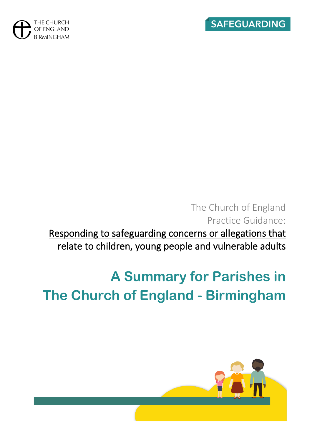



## The Church of England Practice Guidance: Responding to safeguarding concerns or allegations that relate to children, young people and vulnerable adults

# **A Summary for Parishes in The Church of England - Birmingham**

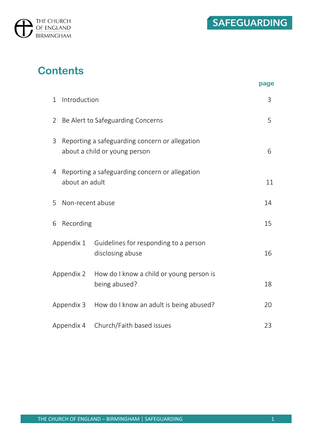

## **Contents**

|                |                                                                                 |                                                           | page |
|----------------|---------------------------------------------------------------------------------|-----------------------------------------------------------|------|
| 1              | Introduction                                                                    |                                                           | 3    |
| $\overline{2}$ | Be Alert to Safeguarding Concerns                                               |                                                           | 5    |
| 3              | Reporting a safeguarding concern or allegation<br>about a child or young person |                                                           | 6    |
| 4              | Reporting a safeguarding concern or allegation<br>about an adult                |                                                           | 11   |
| 5              | Non-recent abuse                                                                |                                                           | 14   |
| 6              | Recording                                                                       |                                                           | 15   |
| Appendix 1     |                                                                                 | Guidelines for responding to a person<br>disclosing abuse | 16   |
| Appendix 2     |                                                                                 | How do I know a child or young person is<br>being abused? | 18   |
| Appendix 3     |                                                                                 | How do I know an adult is being abused?                   | 20   |
| Appendix 4     |                                                                                 | Church/Faith based issues                                 | 23   |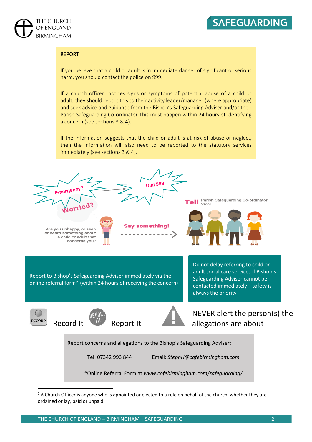



#### REPORT

If you believe that a child or adult is in immediate danger of significant or serious harm, you should contact the police on 999.

If a church officer<sup>1</sup> notices signs or symptoms of potential abuse of a child or adult, they should report this to their activity leader/manager (where appropriate) and seek advice and guidance from the Bishop's Safeguarding Adviser and/or their Parish Safeguarding Co-ordinator This must happen within 24 hours of identifying a concern (see sections 3 & 4).

If the information suggests that the child or adult is at risk of abuse or neglect, then the information will also need to be reported to the statutory services immediately (see sections 3 & 4).



 $1$  A Church Officer is anyone who is appointed or elected to a role on behalf of the church, whether they are ordained or lay, paid or unpaid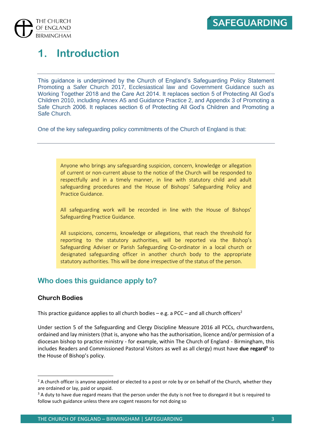

## **1. Introduction**

This guidance is underpinned by the Church of England's Safeguarding Policy Statement Promoting a Safer Church 2017, Ecclesiastical law and Government Guidance such as Working Together 2018 and the Care Act 2014. It replaces section 5 of Protecting All God's Children 2010, including Annex A5 and Guidance Practice 2, and Appendix 3 of Promoting a Safe Church 2006. It replaces section 6 of Protecting All God's Children and Promoting a Safe Church.

One of the key safeguarding policy commitments of the Church of England is that:

Anyone who brings any safeguarding suspicion, concern, knowledge or allegation of current or non-current abuse to the notice of the Church will be responded to respectfully and in a timely manner, in line with statutory child and adult safeguarding procedures and the House of Bishops' Safeguarding Policy and Practice Guidance.

All safeguarding work will be recorded in line with the House of Bishops' Safeguarding Practice Guidance.

All suspicions, concerns, knowledge or allegations, that reach the threshold for reporting to the statutory authorities, will be reported via the Bishop's Safeguarding Adviser or Parish Safeguarding Co-ordinator in a local church or designated safeguarding officer in another church body to the appropriate statutory authorities. This will be done irrespective of the status of the person.

#### **Who does this guidance apply to?**

#### **Church Bodies**

This practice guidance applies to all church bodies – e.g. a PCC – and all church officers<sup>2</sup>

Under section 5 of the Safeguarding and Clergy Discipline Measure 2016 all PCCs, churchwardens, ordained and lay ministers (that is, anyone who has the authorisation, licence and/or permission of a diocesan bishop to practice ministry - for example, within The Church of England - Birmingham, this includes Readers and Commissioned Pastoral Visitors as well as all clergy) must have **due regard<sup>3</sup>** to the House of Bishop's policy.

<sup>&</sup>lt;sup>2</sup> A church officer is anyone appointed or elected to a post or role by or on behalf of the Church, whether they are ordained or lay, paid or unpaid.

 $3$  A duty to have due regard means that the person under the duty is not free to disregard it but is required to follow such guidance unless there are cogent reasons for not doing so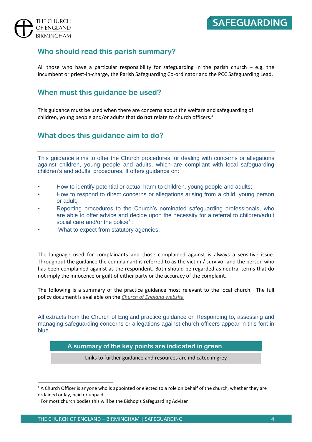#### **Who should read this parish summary?**

All those who have a particular responsibility for safeguarding in the parish church  $-$  e.g. the incumbent or priest-in-charge, the Parish Safeguarding Co-ordinator and the PCC Safeguarding Lead.

#### **When must this guidance be used?**

This guidance must be used when there are concerns about the welfare and safeguarding of children, young people and/or adults that **do not** relate to church officers. 4

#### **What does this guidance aim to do?**

This guidance aims to offer the Church procedures for dealing with concerns or allegations against children, young people and adults, which are compliant with local safeguarding children's and adults' procedures. It offers guidance on:

- How to identify potential or actual harm to children, young people and adults;
- How to respond to direct concerns or allegations arising from a child, young person or adult;
- Reporting procedures to the Church's nominated safeguarding professionals, who are able to offer advice and decide upon the necessity for a referral to children/adult social care and/or the police<sup>5</sup>;
- What to expect from statutory agencies.

The language used for complainants and those complained against is always a sensitive issue. Throughout the guidance the complainant is referred to as the victim / survivor and the person who has been complained against as the respondent. Both should be regarded as neutral terms that do not imply the innocence or guilt of either party or the accuracy of the complaint.

The following is a summary of the practice guidance most relevant to the local church. The full policy document is available on the *[Church of England website](https://www.churchofengland.org/safeguarding/promoting-safer-church/policy-practice-guidance)*

All extracts from the Church of England practice guidance on Responding to, assessing and managing safeguarding concerns or allegations against church officers appear in this font in blue.

#### **A summary of the key points are indicated in green**

Links to further guidance and resources are indicated in grey

<sup>&</sup>lt;sup>4</sup> A Church Officer is anyone who is appointed or elected to a role on behalf of the church, whether they are ordained or lay, paid or unpaid

<sup>5</sup> For most church bodies this will be the Bishop's Safeguarding Adviser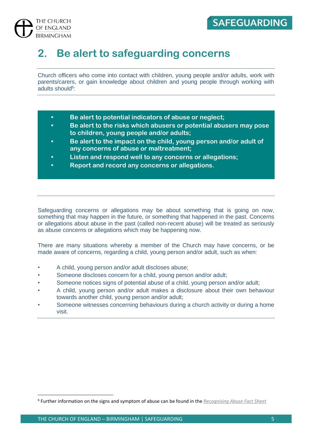

## **2. Be alert to safeguarding concerns**

Church officers who come into contact with children, young people and/or adults, work with parents/carers, or gain knowledge about children and young people through working with adults should<sup>6</sup>:

- **• Be alert to potential indicators of abuse or neglect;**
- **• Be alert to the risks which abusers or potential abusers may pose to children, young people and/or adults;**
- **• Be alert to the impact on the child, young person and/or adult of any concerns of abuse or maltreatment;**
- **• Listen and respond well to any concerns or allegations;**
- **• Report and record any concerns or allegations.**

Safeguarding concerns or allegations may be about something that is going on now, something that may happen in the future, or something that happened in the past. Concerns or allegations about abuse in the past (called non-recent abuse) will be treated as seriously as abuse concerns or allegations which may be happening now.

There are many situations whereby a member of the Church may have concerns, or be made aware of concerns, regarding a child, young person and/or adult, such as when:

- A child, young person and/or adult discloses abuse;
- Someone discloses concern for a child, young person and/or adult;
- Someone notices signs of potential abuse of a child, young person and/or adult;
- A child, young person and/or adult makes a disclosure about their own behaviour towards another child, young person and/or adult;
- Someone witnesses concerning behaviours during a church activity or during a home visit.

<sup>6</sup> Further information on the signs and symptom of abuse can be found in the *[Recognising Abuse Fact Sheet](https://www.dropbox.com/sh/7mfsu2typob6qno/AADuEQRtFN3XBLI54Wxj5dhia?dl=0&lst=&preview=Recognising+Abuse.pdf)*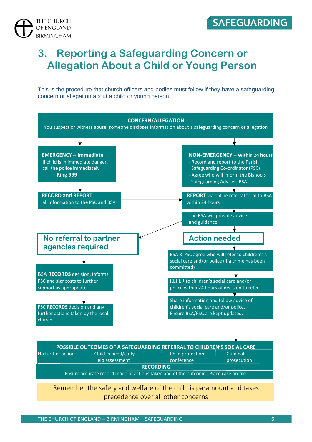

## **3. Reporting a Safeguarding Concern or Allegation About a Child or Young Person**

This is the procedure that church officers and bodies must follow if they have a safeguarding concern or allegation about a child or young person.



Remember the safety and welfare of the child is paramount and takes precedence over all other concerns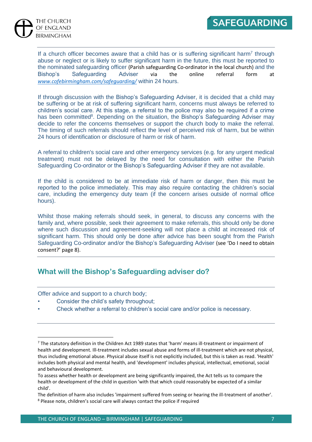

If a church officer becomes aware that a child has or is suffering significant harm<sup>7</sup> through abuse or neglect or is likely to suffer significant harm in the future, this must be reported to the nominated safeguarding officer (Parish safeguarding Co-ordinator in the local church) and the Bishop's Safeguarding Adviser via the online referral form at *[www.cofebirmingham.com/safeguarding/](http://www.cofebirmingham.com/safeguarding/)* within 24 hours.

If through discussion with the Bishop's Safeguarding Adviser, it is decided that a child may be suffering or be at risk of suffering significant harm, concerns must always be referred to children's social care. At this stage, a referral to the police may also be required if a crime has been committed<sup>8</sup>. Depending on the situation, the Bishop's Safeguarding Adviser may decide to refer the concerns themselves or support the church body to make the referral. The timing of such referrals should reflect the level of perceived risk of harm, but be within 24 hours of identification or disclosure of harm or risk of harm.

A referral to children's social care and other emergency services (e.g. for any urgent medical treatment) must not be delayed by the need for consultation with either the Parish Safeguarding Co-ordinator or the Bishop's Safeguarding Adviser if they are not available.

If the child is considered to be at immediate risk of harm or danger, then this must be reported to the police immediately. This may also require contacting the children's social care, including the emergency duty team (if the concern arises outside of normal office hours).

Whilst those making referrals should seek, in general, to discuss any concerns with the family and, where possible, seek their agreement to make referrals, this should only be done where such discussion and agreement-seeking will not place a child at increased risk of significant harm. This should only be done after advice has been sought from the Parish Safeguarding Co-ordinator and/or the Bishop's Safeguarding Adviser (see 'Do I need to obtain consent?' page 8).

#### **What will the Bishop's Safeguarding adviser do?**

Offer advice and support to a church body;

- Consider the child's safety throughout;
- Check whether a referral to children's social care and/or police is necessary.

<sup>7</sup> The statutory definition in the Children Act 1989 states that 'harm' means ill-treatment or impairment of health and development. Ill-treatment includes sexual abuse and forms of ill-treatment which are not physical, thus including emotional abuse. Physical abuse itself is not explicitly included, but this is taken as read. 'Health' includes both physical and mental health, and 'development' includes physical, intellectual, emotional, social and behavioural development.

To assess whether health or development are being significantly impaired, the Act tells us to compare the health or development of the child in question 'with that which could reasonably be expected of a similar child'.

The definition of harm also includes 'impairment suffered from seeing or hearing the ill-treatment of another'. <sup>8</sup> Please note, children's social care will always contact the police if required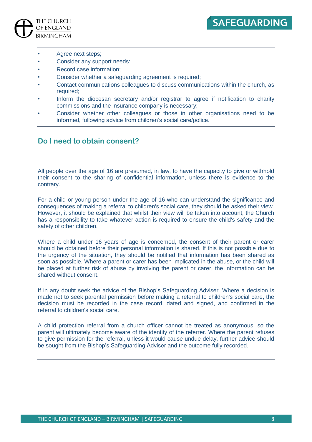

- Agree next steps;
- Consider any support needs:
- Record case information;
- Consider whether a safeguarding agreement is required;
- Contact communications colleagues to discuss communications within the church, as required;
- Inform the diocesan secretary and/or registrar to agree if notification to charity commissions and the insurance company is necessary;
- Consider whether other colleagues or those in other organisations need to be informed, following advice from children's social care/police.

#### **Do I need to obtain consent?**

All people over the age of 16 are presumed, in law, to have the capacity to give or withhold their consent to the sharing of confidential information, unless there is evidence to the contrary.

For a child or young person under the age of 16 who can understand the significance and consequences of making a referral to children's social care, they should be asked their view. However, it should be explained that whilst their view will be taken into account, the Church has a responsibility to take whatever action is required to ensure the child's safety and the safety of other children.

Where a child under 16 years of age is concerned, the consent of their parent or carer should be obtained before their personal information is shared. If this is not possible due to the urgency of the situation, they should be notified that information has been shared as soon as possible. Where a parent or carer has been implicated in the abuse, or the child will be placed at further risk of abuse by involving the parent or carer, the information can be shared without consent.

If in any doubt seek the advice of the Bishop's Safeguarding Adviser. Where a decision is made not to seek parental permission before making a referral to children's social care, the decision must be recorded in the case record, dated and signed, and confirmed in the referral to children's social care.

A child protection referral from a church officer cannot be treated as anonymous, so the parent will ultimately become aware of the identity of the referrer. Where the parent refuses to give permission for the referral, unless it would cause undue delay, further advice should be sought from the Bishop's Safeguarding Adviser and the outcome fully recorded.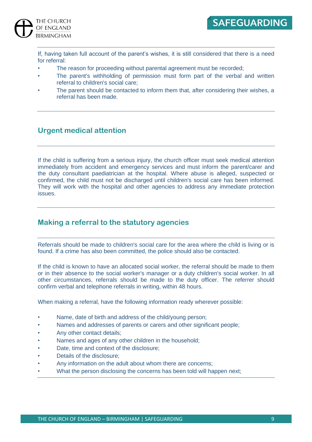

If, having taken full account of the parent's wishes, it is still considered that there is a need for referral:

- The reason for proceeding without parental agreement must be recorded;
- The parent's withholding of permission must form part of the verbal and written referral to children's social care;
- The parent should be contacted to inform them that, after considering their wishes, a referral has been made.

#### **Urgent medical attention**

If the child is suffering from a serious injury, the church officer must seek medical attention immediately from accident and emergency services and must inform the parent/carer and the duty consultant paediatrician at the hospital. Where abuse is alleged, suspected or confirmed, the child must not be discharged until children's social care has been informed. They will work with the hospital and other agencies to address any immediate protection issues.

#### **Making a referral to the statutory agencies**

Referrals should be made to children's social care for the area where the child is living or is found. If a crime has also been committed, the police should also be contacted.

If the child is known to have an allocated social worker, the referral should be made to them or in their absence to the social worker's manager or a duty children's social worker. In all other circumstances, referrals should be made to the duty officer. The referrer should confirm verbal and telephone referrals in writing, within 48 hours.

When making a referral, have the following information ready wherever possible:

- Name, date of birth and address of the child/young person;
- Names and addresses of parents or carers and other significant people;
- Any other contact details;
- Names and ages of any other children in the household;
- Date, time and context of the disclosure;
- Details of the disclosure;
- Any information on the adult about whom there are concerns;
- What the person disclosing the concerns has been told will happen next;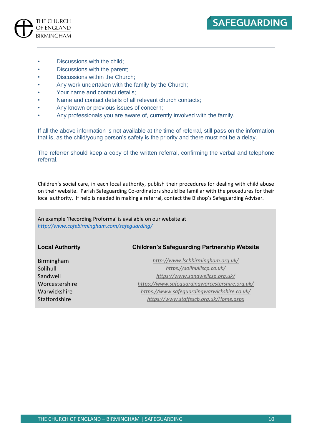Discussions with the child;

THE CHURCH OF ENGLAND **BIRMINGHAM** 

- Discussions with the parent;
- Discussions within the Church;
- Any work undertaken with the family by the Church;
- Your name and contact details;
- Name and contact details of all relevant church contacts;
- Any known or previous issues of concern;
- Any professionals you are aware of, currently involved with the family.

If all the above information is not available at the time of referral, still pass on the information that is, as the child/young person's safety is the priority and there must not be a delay.

The referrer should keep a copy of the written referral, confirming the verbal and telephone referral.

Children's social care, in each local authority, publish their procedures for dealing with child abuse on their website. Parish Safeguarding Co-ordinators should be familiar with the procedures for their local authority. If help is needed in making a referral, contact the Bishop's Safeguarding Adviser.

An example 'Recording Proforma' is available on our website at *<http://www.cofebirmingham.com/safeguarding/>*

**Local Authority Children's Safeguarding Partnership Website**

Birmingham *<http://www.lscbbirmingham.org.uk/>* Solihull *<https://solihulllscp.co.uk/>* Sandwell *<https://www.sandwellcsp.org.uk/>* Worcestershire *<https://www.safeguardingworcestershire.org.uk/>* Warwickshire *<https://www.safeguardingwarwickshire.co.uk/>* Staffordshire *<https://www.staffsscb.org.uk/Home.aspx>*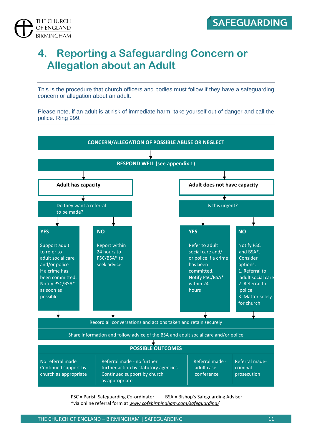

## **4. Reporting a Safeguarding Concern or Allegation about an Adult**

This is the procedure that church officers and bodies must follow if they have a safeguarding concern or allegation about an adult.

Please note, if an adult is at risk of immediate harm, take yourself out of danger and call the police. Ring 999.



PSC = Parish Safeguarding Co-ordinator BSA = Bishop's Safeguarding Adviser \*via online referral form at *[www.cofebirmingham.com/safeguarding/](http://www.cofebirmingham.com/safeguarding/)*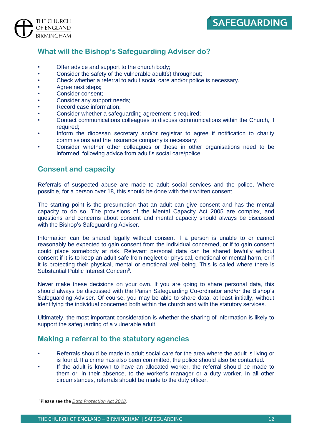#### **What will the Bishop's Safeguarding Adviser do?**

- Offer advice and support to the church body;
- Consider the safety of the vulnerable adult(s) throughout;
- Check whether a referral to adult social care and/or police is necessary.
- Agree next steps;
- Consider consent;
- Consider any support needs;
- Record case information:
- Consider whether a safeguarding agreement is required;
- Contact communications colleagues to discuss communications within the Church, if required;
- Inform the diocesan secretary and/or registrar to agree if notification to charity commissions and the insurance company is necessary;
- Consider whether other colleagues or those in other organisations need to be informed, following advice from adult's social care/police.

#### **Consent and capacity**

Referrals of suspected abuse are made to adult social services and the police. Where possible, for a person over 18, this should be done with their written consent.

The starting point is the presumption that an adult can give consent and has the mental capacity to do so. The provisions of the Mental Capacity Act 2005 are complex, and questions and concerns about consent and mental capacity should always be discussed with the Bishop's Safeguarding Adviser.

Information can be shared legally without consent if a person is unable to or cannot reasonably be expected to gain consent from the individual concerned, or if to gain consent could place somebody at risk. Relevant personal data can be shared lawfully without consent if it is to keep an adult safe from neglect or physical, emotional or mental harm, or if it is protecting their physical, mental or emotional well-being. This is called where there is Substantial Public Interest Concern<sup>9</sup>.

Never make these decisions on your own. If you are going to share personal data, this should always be discussed with the Parish Safeguarding Co-ordinator and/or the Bishop's Safeguarding Adviser. Of course, you may be able to share data, at least initially, without identifying the individual concerned both within the church and with the statutory services.

Ultimately, the most important consideration is whether the sharing of information is likely to support the safeguarding of a vulnerable adult.

#### **Making a referral to the statutory agencies**

- Referrals should be made to adult social care for the area where the adult is living or is found. If a crime has also been committed, the police should also be contacted.
- If the adult is known to have an allocated worker, the referral should be made to them or, in their absence, to the worker's manager or a duty worker. In all other circumstances, referrals should be made to the duty officer.

<sup>9</sup> Please see the *[Data Protection Act 2018.](http://www.legislation.gov.uk/ukpga/2018/12/contents)*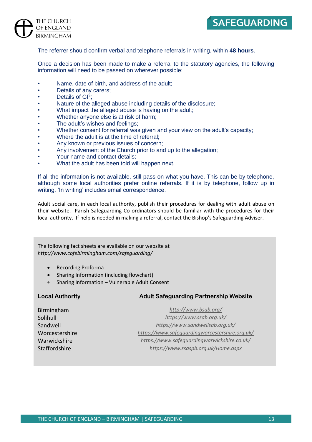

The referrer should confirm verbal and telephone referrals in writing, within **48 hours**.

Once a decision has been made to make a referral to the statutory agencies, the following information will need to be passed on wherever possible:

- Name, date of birth, and address of the adult:
- Details of any carers;
- Details of GP:
- Nature of the alleged abuse including details of the disclosure;
- What impact the alleged abuse is having on the adult;
- Whether anyone else is at risk of harm;
- The adult's wishes and feelings;
- Whether consent for referral was given and your view on the adult's capacity;
- Where the adult is at the time of referral:
- Any known or previous issues of concern;
- Any involvement of the Church prior to and up to the allegation;
- Your name and contact details;
- What the adult has been told will happen next.

If all the information is not available, still pass on what you have. This can be by telephone, although some local authorities prefer online referrals. If it is by telephone, follow up in writing. 'In writing' includes email correspondence.

Adult social care, in each local authority, publish their procedures for dealing with adult abuse on their website. Parish Safeguarding Co-ordinators should be familiar with the procedures for their local authority. If help is needed in making a referral, contact the Bishop's Safeguarding Adviser.

The following fact sheets are available on our website at *<http://www.cofebirmingham.com/safeguarding/>*

- Recording Proforma
- Sharing Information (including flowchart)
- Sharing Information Vulnerable Adult Consent

#### **Local Authority Adult Safeguarding Partnership Website**

Birmingham *<http://www.bsab.org/>* Solihull *<https://www.ssab.org.uk/>* Sandwell *<https://www.sandwellsab.org.uk/>* Worcestershire *<https://www.safeguardingworcestershire.org.uk/>* Warwickshire *<https://www.safeguardingwarwickshire.co.uk/>* Staffordshire *<https://www.ssaspb.org.uk/Home.aspx>*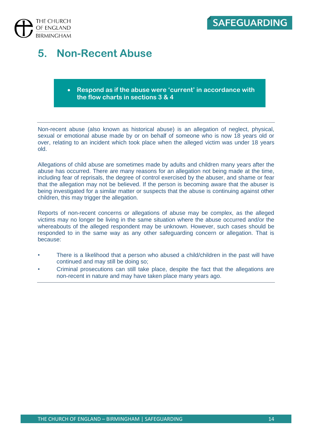

## **5. Non-Recent Abuse**

#### • **Respond as if the abuse were 'current' in accordance with the flow charts in sections 3 & 4**

Non-recent abuse (also known as historical abuse) is an allegation of neglect, physical, sexual or emotional abuse made by or on behalf of someone who is now 18 years old or over, relating to an incident which took place when the alleged victim was under 18 years old.

Allegations of child abuse are sometimes made by adults and children many years after the abuse has occurred. There are many reasons for an allegation not being made at the time, including fear of reprisals, the degree of control exercised by the abuser, and shame or fear that the allegation may not be believed. If the person is becoming aware that the abuser is being investigated for a similar matter or suspects that the abuse is continuing against other children, this may trigger the allegation.

Reports of non-recent concerns or allegations of abuse may be complex, as the alleged victims may no longer be living in the same situation where the abuse occurred and/or the whereabouts of the alleged respondent may be unknown. However, such cases should be responded to in the same way as any other safeguarding concern or allegation. That is because:

- There is a likelihood that a person who abused a child/children in the past will have continued and may still be doing so;
- Criminal prosecutions can still take place, despite the fact that the allegations are non-recent in nature and may have taken place many years ago.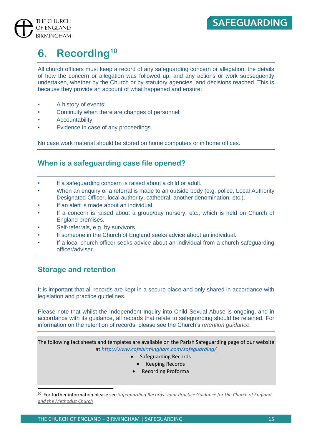

## **6. Recording<sup>10</sup>**

All church officers must keep a record of any safeguarding concern or allegation, the details of how the concern or allegation was followed up, and any actions or work subsequently undertaken, whether by the Church or by statutory agencies, and decisions reached. This is because they provide an account of what happened and ensure:

- A history of events;
- Continuity when there are changes of personnel;
- Accountability;
- Evidence in case of any proceedings.

No case work material should be stored on home computers or in home offices.

#### **When is a safeguarding case file opened?**

- If a safeguarding concern is raised about a child or adult.
- When an enquiry or a referral is made to an outside body (e.g. police, Local Authority Designated Officer, local authority, cathedral, another denomination, etc.).
- If an alert is made about an individual.
- If a concern is raised about a group/day nursery, etc., which is held on Church of England premises.
- Self-referrals, e.g. by survivors.
- If someone in the Church of England seeks advice about an individual.
- If a local church officer seeks advice about an individual from a church safeguarding officer/adviser.

#### **Storage and retention**

It is important that all records are kept in a secure place and only shared in accordance with legislation and practice guidelines.

Please note that whilst the Independent Inquiry into Child Sexual Abuse is ongoing, and in accordance with its guidance, all records that relate to safeguarding should be retained. For information on the retention of records, please see the Church's *[retention guidance.](https://www.churchofengland.org/more/libraries-and-archives/records-management-guides)*

The following fact sheets and templates are available on the Parish Safeguarding page of our website at *<http://www.cofebirmingham.com/safeguarding/>*

- Safeguarding Records
	- Keeping Records
- Recording Proforma

10 For further information please see *[Safeguarding Records:](https://www.churchofengland.org/sites/default/files/2017-11/safeguarding%20joint%20practice%20guidance%20-%20safeguarding%20records.pdf) Joint Practice Guidance for the Church of England and the Methodist Church*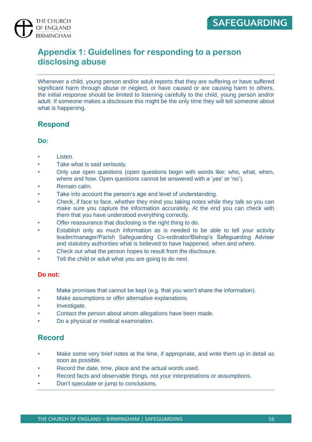



### **Appendix 1: Guidelines for responding to a person disclosing abuse**

Whenever a child, young person and/or adult reports that they are suffering or have suffered significant harm through abuse or neglect, or have caused or are causing harm to others, the initial response should be limited to listening carefully to the child, young person and/or adult. If someone makes a disclosure this might be the only time they will tell someone about what is happening.

#### **Respond**

#### **Do:**

- Listen.
- Take what is said seriously.
- Only use open questions (open questions begin with words like: who, what, when, where and how. Open questions cannot be answered with a 'yes' or 'no').
- Remain calm.
- Take into account the person's age and level of understanding.
- Check, if face to face, whether they mind you taking notes while they talk so you can make sure you capture the information accurately. At the end you can check with them that you have understood everything correctly.
- Offer reassurance that disclosing is the right thing to do.
- Establish only as much information as is needed to be able to tell your activity leader/manager/Parish Safeguarding Co-ordinator/Bishop's Safeguarding Adviser and statutory authorities what is believed to have happened, when and where.
- Check out what the person hopes to result from the disclosure.
- Tell the child or adult what you are going to do next.

#### **Do not:**

- Make promises that cannot be kept (e.g. that you won't share the information).
- Make assumptions or offer alternative explanations.
- Investigate.
- Contact the person about whom allegations have been made.
- Do a physical or medical examination.

#### **Record**

- Make some very brief notes at the time, if appropriate, and write them up in detail as soon as possible.
- Record the date, time, place and the actual words used.
- Record facts and observable things, not your interpretations or assumptions.
- Don't speculate or jump to conclusions.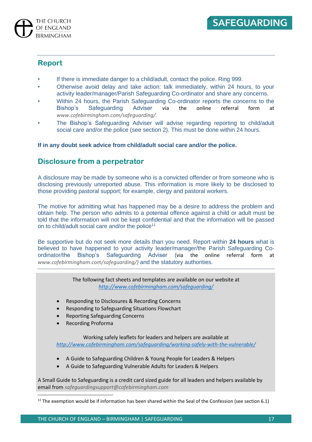



#### **Report**

- If there is immediate danger to a child/adult, contact the police. Ring 999.
- Otherwise avoid delay and take action: talk immediately, within 24 hours, to your activity leader/manager/Parish Safeguarding Co-ordinator and share any concerns.
- Within 24 hours, the Parish Safeguarding Co-ordinator reports the concerns to the<br>Bishop's Safeguarding Adviser via the online referral form at Bishop's Safeguarding Adviser via the online referral form at *www.cofebirmingham.com/safeguarding/.*
- The Bishop's Safeguarding Adviser will advise regarding reporting to child/adult social care and/or the police (see section 2). This must be done within 24 hours.

**If in any doubt seek advice from child/adult social care and/or the police.** 

#### **Disclosure from a perpetrator**

A disclosure may be made by someone who is a convicted offender or from someone who is disclosing previously unreported abuse. This information is more likely to be disclosed to those providing pastoral support; for example, clergy and pastoral workers.

The motive for admitting what has happened may be a desire to address the problem and obtain help. The person who admits to a potential offence against a child or adult must be told that the information will not be kept confidential and that the information will be passed on to child/adult social care and/or the police<sup>11</sup>

Be supportive but do not seek more details than you need. Report within **24 hours** what is believed to have happened to your activity leader/manager/the Parish Safeguarding Coordinator/the Bishop's Safeguarding Adviser (via the online referral form at *www.cofebirmingham.com/safeguarding/)* and the statutory authorities.

> The following fact sheets and templates are available on our website at *<http://www.cofebirmingham.com/safeguarding/>*

- Responding to Disclosures & Recording Concerns
- Responding to Safeguarding Situations Flowchart
- Reporting Safeguarding Concerns
- Recording Proforma

Working safely leaflets for leaders and helpers are available at *<http://www.cofebirmingham.com/safeguarding/working-safely-with-the-vulnerable/>*

- A Guide to Safeguarding Children & Young People for Leaders & Helpers
- A Guide to Safeguarding Vulnerable Adults for Leaders & Helpers

A Small Guide to Safeguarding is a credit card sized guide for all leaders and helpers available by email from *safeguardingsupport@cofebirmingham.com*

<sup>&</sup>lt;sup>11</sup> The exemption would be if information has been shared within the Seal of the Confession (see section 6.1)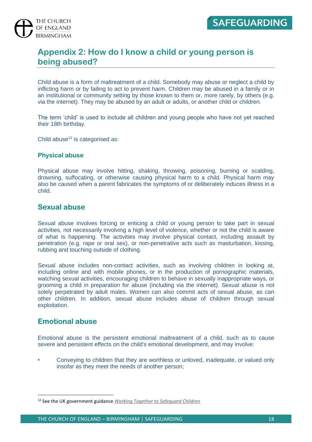

#### **Appendix 2: How do I know a child or young person is being abused?**

Child abuse is a form of maltreatment of a child. Somebody may abuse or neglect a child by inflicting harm or by failing to act to prevent harm. Children may be abused in a family or in an institutional or community setting by those known to them or, more rarely, by others (e.g. via the internet). They may be abused by an adult or adults, or another child or children.

The term 'child' is used to include all children and young people who have not yet reached their 18th birthday.

Child abuse $12$  is categorised as:

#### **Physical abuse**

Physical abuse may involve hitting, shaking, throwing, poisoning, burning or scalding, drowning, suffocating, or otherwise causing physical harm to a child. Physical harm may also be caused when a parent fabricates the symptoms of or deliberately induces illness in a child.

#### **Sexual abuse**

Sexual abuse involves forcing or enticing a child or young person to take part in sexual activities, not necessarily involving a high level of violence, whether or not the child is aware of what is happening. The activities may involve physical contact, including assault by penetration (e.g. rape or oral sex), or non-penetrative acts such as masturbation, kissing, rubbing and touching outside of clothing.

Sexual abuse includes non-contact activities, such as involving children in looking at, including online and with mobile phones, or in the production of pornographic materials, watching sexual activities, encouraging children to behave in sexually inappropriate ways, or grooming a child in preparation for abuse (including via the internet). Sexual abuse is not solely perpetrated by adult males. Women can also commit acts of sexual abuse, as can other children. In addition, sexual abuse includes abuse of children through sexual exploitation.

#### **Emotional abuse**

Emotional abuse is the persistent emotional maltreatment of a child, such as to cause severe and persistent effects on the child's emotional development, and may involve:

• Conveying to children that they are worthless or unloved, inadequate, or valued only insofar as they meet the needs of another person;

<sup>12</sup> See the UK government guidance *[Working Together to Safeguard Children](https://assets.publishing.service.gov.uk/government/uploads/system/uploads/attachment_data/file/779401/Working_Together_to_Safeguard-Children.pdf)*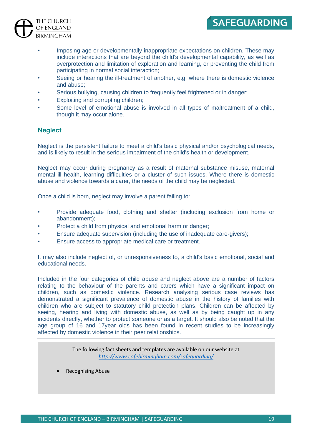

- Imposing age or developmentally inappropriate expectations on children. These may include interactions that are beyond the child's developmental capability, as well as overprotection and limitation of exploration and learning, or preventing the child from participating in normal social interaction;
- Seeing or hearing the ill-treatment of another, e.g. where there is domestic violence and abuse;
- Serious bullying, causing children to frequently feel frightened or in danger;
- Exploiting and corrupting children;
- Some level of emotional abuse is involved in all types of maltreatment of a child, though it may occur alone.

#### **Neglect**

Neglect is the persistent failure to meet a child's basic physical and/or psychological needs, and is likely to result in the serious impairment of the child's health or development.

Neglect may occur during pregnancy as a result of maternal substance misuse, maternal mental ill health, learning difficulties or a cluster of such issues. Where there is domestic abuse and violence towards a carer, the needs of the child may be neglected.

Once a child is born, neglect may involve a parent failing to:

- Provide adequate food, clothing and shelter (including exclusion from home or abandonment);
- Protect a child from physical and emotional harm or danger;
- Ensure adequate supervision (including the use of inadequate care-givers);
- Ensure access to appropriate medical care or treatment.

It may also include neglect of, or unresponsiveness to, a child's basic emotional, social and educational needs.

Included in the four categories of child abuse and neglect above are a number of factors relating to the behaviour of the parents and carers which have a significant impact on children, such as domestic violence. Research analysing serious case reviews has demonstrated a significant prevalence of domestic abuse in the history of families with children who are subject to statutory child protection plans. Children can be affected by seeing, hearing and living with domestic abuse, as well as by being caught up in any incidents directly, whether to protect someone or as a target. It should also be noted that the age group of 16 and 17year olds has been found in recent studies to be increasingly affected by domestic violence in their peer relationships.

> The following fact sheets and templates are available on our website at *<http://www.cofebirmingham.com/safeguarding/>*

• Recognising Abuse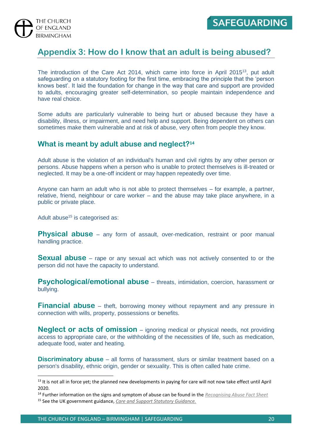



#### **Appendix 3: How do I know that an adult is being abused?**

The introduction of the Care Act 2014, which came into force in April 2015<sup>13</sup>, put adult safeguarding on a statutory footing for the first time, embracing the principle that the 'person knows best'. It laid the foundation for change in the way that care and support are provided to adults, encouraging greater self-determination, so people maintain independence and have real choice.

Some adults are particularly vulnerable to being hurt or abused because they have a disability, illness, or impairment, and need help and support. Being dependent on others can sometimes make them vulnerable and at risk of abuse, very often from people they know.

#### **What is meant by adult abuse and neglect?<sup>14</sup>**

Adult abuse is the violation of an individual's human and civil rights by any other person or persons. Abuse happens when a person who is unable to protect themselves is ill-treated or neglected. It may be a one-off incident or may happen repeatedly over time.

Anyone can harm an adult who is not able to protect themselves – for example, a partner, relative, friend, neighbour or care worker – and the abuse may take place anywhere, in a public or private place.

Adult abuse<sup>15</sup> is categorised as:

**Physical abuse** – any form of assault, over-medication, restraint or poor manual handling practice.

**Sexual abuse** – rape or any sexual act which was not actively consented to or the person did not have the capacity to understand.

**Psychological/emotional abuse** – threats, intimidation, coercion, harassment or bullying.

**Financial abuse** – theft, borrowing money without repayment and any pressure in connection with wills, property, possessions or benefits.

**Neglect or acts of omission** – ignoring medical or physical needs, not providing access to appropriate care, or the withholding of the necessities of life, such as medication, adequate food, water and heating.

**Discriminatory abuse** – all forms of harassment, slurs or similar treatment based on a person's disability, ethnic origin, gender or sexuality. This is often called hate crime.

<sup>&</sup>lt;sup>13</sup> It is not all in force yet; the planned new developments in paying for care will not now take effect until April 2020.

<sup>14</sup> Further information on the signs and symptom of abuse can be found in the *[Recognising Abuse Fact Sheet](https://www.dropbox.com/sh/7mfsu2typob6qno/AADuEQRtFN3XBLI54Wxj5dhia?dl=0&lst=&preview=Recognising+Abuse.pdf)*

<sup>15</sup> See the UK government guidance, *[Care and Support Statutory Guidance.](https://www.gov.uk/government/publications/care-act-statutory-guidance/care-and-support-statutory-guidance)*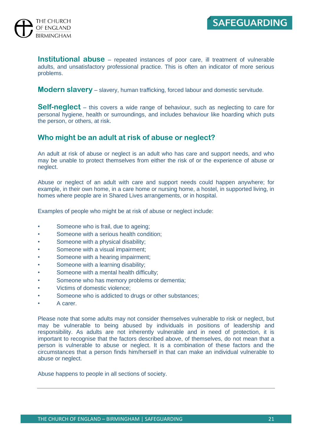

**Institutional abuse** – repeated instances of poor care, ill treatment of vulnerable adults, and unsatisfactory professional practice. This is often an indicator of more serious problems.

**Modern slavery** – slavery, human trafficking, forced labour and domestic servitude.

**Self-neglect** – this covers a wide range of behaviour, such as neglecting to care for personal hygiene, health or surroundings, and includes behaviour like hoarding which puts the person, or others, at risk.

#### **Who might be an adult at risk of abuse or neglect?**

An adult at risk of abuse or neglect is an adult who has care and support needs, and who may be unable to protect themselves from either the risk of or the experience of abuse or neglect.

Abuse or neglect of an adult with care and support needs could happen anywhere; for example, in their own home, in a care home or nursing home, a hostel, in supported living, in homes where people are in Shared Lives arrangements, or in hospital.

Examples of people who might be at risk of abuse or neglect include:

- Someone who is frail, due to ageing;
- Someone with a serious health condition:
- Someone with a physical disability;
- Someone with a visual impairment;
- Someone with a hearing impairment;
- Someone with a learning disability;
- Someone with a mental health difficulty;
- Someone who has memory problems or dementia;
- Victims of domestic violence;
- Someone who is addicted to drugs or other substances;
- A carer.

Please note that some adults may not consider themselves vulnerable to risk or neglect, but may be vulnerable to being abused by individuals in positions of leadership and responsibility. As adults are not inherently vulnerable and in need of protection, it is important to recognise that the factors described above, of themselves, do not mean that a person is vulnerable to abuse or neglect. It is a combination of these factors and the circumstances that a person finds him/herself in that can make an individual vulnerable to abuse or neglect.

Abuse happens to people in all sections of society.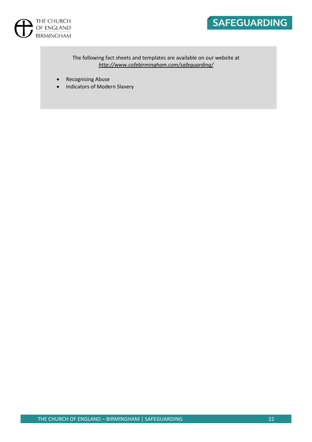



The following fact sheets and templates are available on our website at *<http://www.cofebirmingham.com/safeguarding/>*

- Recognising Abuse
- Indicators of Modern Slavery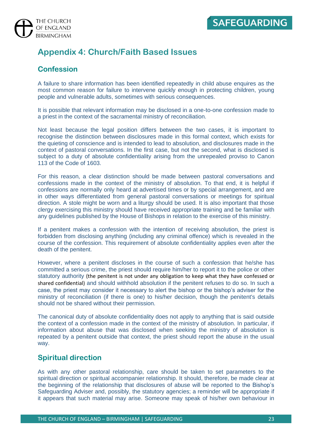

### **Appendix 4: Church/Faith Based Issues**

#### **Confession**

A failure to share information has been identified repeatedly in child abuse enquires as the most common reason for failure to intervene quickly enough in protecting children, young people and vulnerable adults, sometimes with serious consequences.

It is possible that relevant information may be disclosed in a one-to-one confession made to a priest in the context of the sacramental ministry of reconciliation.

Not least because the legal position differs between the two cases, it is important to recognise the distinction between disclosures made in this formal context, which exists for the quieting of conscience and is intended to lead to absolution, and disclosures made in the context of pastoral conversations. In the first case, but not the second, what is disclosed is subject to a duty of absolute confidentiality arising from the unrepealed proviso to Canon 113 of the Code of 1603.

For this reason, a clear distinction should be made between pastoral conversations and confessions made in the context of the ministry of absolution. To that end, it is helpful if confessions are normally only heard at advertised times or by special arrangement, and are in other ways differentiated from general pastoral conversations or meetings for spiritual direction. A stole might be worn and a liturgy should be used. It is also important that those clergy exercising this ministry should have received appropriate training and be familiar with any guidelines published by the House of Bishops in relation to the exercise of this ministry.

If a penitent makes a confession with the intention of receiving absolution, the priest is forbidden from disclosing anything (including any criminal offence) which is revealed in the course of the confession. This requirement of absolute confidentiality applies even after the death of the penitent.

However, where a penitent discloses in the course of such a confession that he/she has committed a serious crime, the priest should require him/her to report it to the police or other statutory authority (the penitent is not under any obligation to keep what they have confessed or shared confidential) and should withhold absolution if the penitent refuses to do so. In such a case, the priest may consider it necessary to alert the bishop or the bishop's adviser for the ministry of reconciliation (if there is one) to his/her decision, though the penitent's details should not be shared without their permission.

The canonical duty of absolute confidentiality does not apply to anything that is said outside the context of a confession made in the context of the ministry of absolution. In particular, if information about abuse that was disclosed when seeking the ministry of absolution is repeated by a penitent outside that context, the priest should report the abuse in the usual way.

#### **Spiritual direction**

As with any other pastoral relationship, care should be taken to set parameters to the spiritual direction or spiritual accompanier relationship. It should, therefore, be made clear at the beginning of the relationship that disclosures of abuse will be reported to the Bishop's Safeguarding Adviser and, possibly, the statutory agencies; a reminder will be appropriate if it appears that such material may arise. Someone may speak of his/her own behaviour in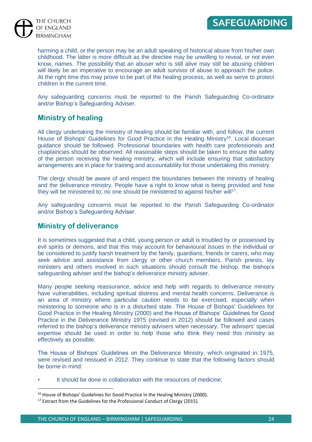

> harming a child, or the person may be an adult speaking of historical abuse from his/her own childhood. The latter is more difficult as the directee may be unwilling to reveal, or not even know, names. The possibility that an abuser who is still alive may still be abusing children will likely be an imperative to encourage an adult survivor of abuse to approach the police. At the right time this may prove to be part of the healing process, as well as serve to protect children in the current time.

> Any safeguarding concerns must be reported to the Parish Safeguarding Co-ordinator and/or Bishop's Safeguarding Adviser.

#### **Ministry of healing**

All clergy undertaking the ministry of healing should be familiar with, and follow, the current House of Bishops' Guidelines for Good Practice in the Healing Ministry<sup>16</sup>. Local diocesan guidance should be followed. Professional boundaries with health care professionals and chaplaincies should be observed. All reasonable steps should be taken to ensure the safety of the person receiving the healing ministry, which will include ensuring that satisfactory arrangements are in place for training and accountability for those undertaking this ministry.

The clergy should be aware of and respect the boundaries between the ministry of healing and the deliverance ministry. People have a right to know what is being provided and how they will be ministered to; no one should be ministered to against his/her will<sup>17</sup>.

Any safeguarding concerns must be reported to the Parish Safeguarding Co-ordinator and/or Bishop's Safeguarding Adviser.

#### **Ministry of deliverance**

It is sometimes suggested that a child, young person or adult is troubled by or possessed by evil spirits or demons, and that this may account for behavioural issues in the individual or be considered to justify harsh treatment by the family, guardians, friends or carers, who may seek advice and assistance from clergy or other church members. Parish priests, lay ministers and others involved in such situations should consult the bishop, the bishop's safeguarding adviser and the bishop's deliverance ministry adviser.

Many people seeking reassurance, advice and help with regards to deliverance ministry have vulnerabilities, including spiritual distress and mental health concerns. Deliverance is an area of ministry where particular caution needs to be exercised, especially when ministering to someone who is in a disturbed state. The House of Bishops' Guidelines for Good Practice in the Healing Ministry (2000) and the House of Bishops' Guidelines for Good Practice in the Deliverance Ministry 1975 (revised in 2012) should be followed and cases referred to the bishop's deliverance ministry advisers when necessary. The advisers' special expertise should be used in order to help those who think they need this ministry as effectively as possible.

The House of Bishops' Guidelines on the Deliverance Ministry, which originated in 1975, were revised and reissued in 2012. They continue to state that the following factors should be borne in mind:

It should be done in collaboration with the resources of medicine;

<sup>&</sup>lt;sup>16</sup> House of Bishops' Guidelines for Good Practice in the Healing Ministry (2000).

<sup>&</sup>lt;sup>17</sup> Extract from the Guidelines for the Professional Conduct of Clergy (2015).